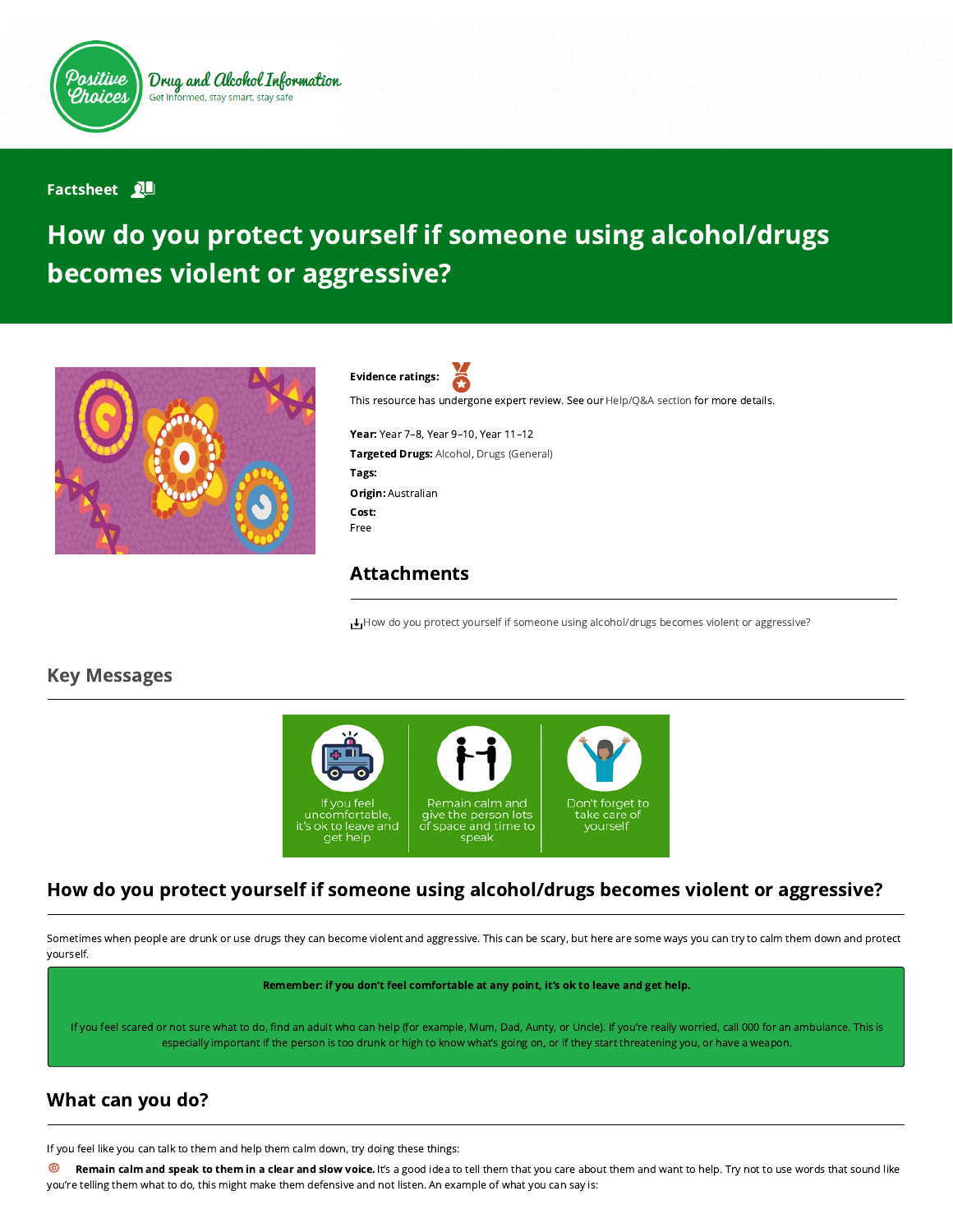

#### **Factsheet** 2

# How do you protect yourself if someone using alcohol/drugs becomes violent or aggressive?



Evidence ratings: This resource has undergone expert review. See our [Help/Q&A section](https://positivechoices.org.au/help/questions-and-answers/) for more details.

Year: Year 7–8, Year 9–10, Year 11–12 Targeted Drugs: Alcohol, Drugs (General) Tags: Origin: Australian Cost: Free

#### Attachments

[How do you protect yourself if someone using alcohol/drugs becomes violent or aggressive?](https://positivechoices.org.au/documents/zCdfg2HJNz/how-do-you-protect-yourself-if-someone-using-alcoholdrugs-becomes-violent-or-aggressive/)

#### Key Messages



## How do you protect yourself if someone using alcohol/drugs becomes violent or aggressive?

Sometimes when people are drunk or use drugs they can become violent and aggressive. This can be scary, but here are some ways you can try to calm them down and protect yourself.

Remember: if you don't feel comfortable at any point, it's ok to leave and get help.

If you feel scared or not sure what to do, find an adult who can help (for example, Mum, Dad, Aunty, or Uncle). If you're really worried, call 000 for an ambulance. This is especially important if the person is too drunk or high to know what's going on, or if they start threatening you, or have a weapon.

## What can you do?

If you feel like you can talk to them and help them calm down, try doing these things:

⊚ Remain calm and speak to them in a clear and slow voice. It's a good idea to tell them that you care about them and want to help. Try not to use words that sound like you're telling them what to do, this might make them defensive and not listen. An example of what you can say is: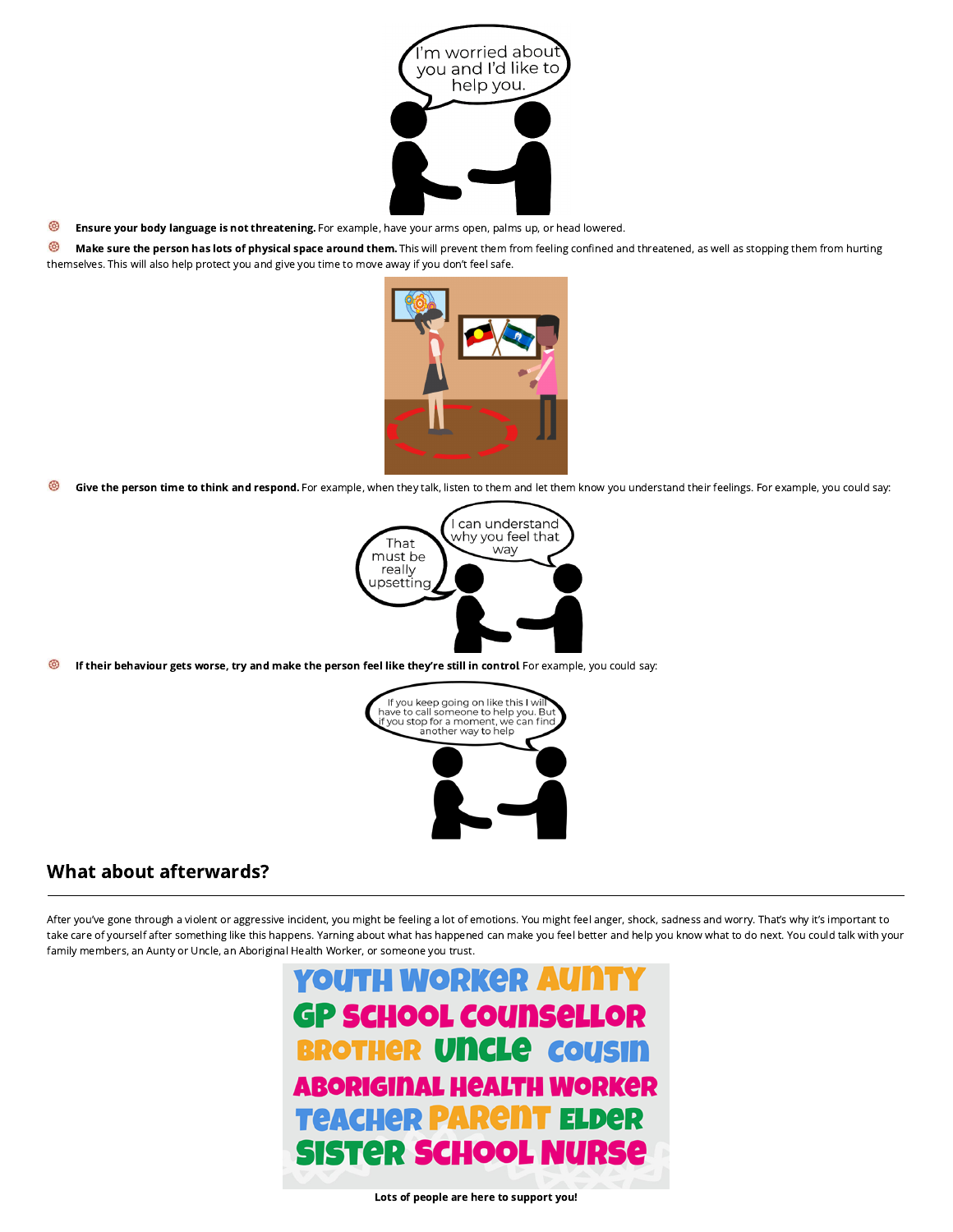

⊛ Ensure your body language is not threatening. For example, have your arms open, palms up, or head lowered.

⊛ Make sure the person has lots of physical space around them. This will prevent them from feeling confined and threatened, as well as stopping them from hurting themselves. This will also help protect you and give you time to move away if you don't feel safe.



ශ Give the person time to think and respond. For example, when they talk, listen to them and let them know you understand their feelings. For example, you could say:



ශ If their behaviour gets worse, try and make the person feel like they're still in control For example, you could say:



#### What about afterwards?

After you've gone through a violent or aggressive incident, you might be feeling a lot of emotions. You might feel anger, shock, sadness and worry. That's why it's important to take care of yourself after something like this happens. Yarning about what has happened can make you feel better and help you know what to do next. You could talk with your family members, an Aunty or Uncle, an Aboriginal Health Worker, or someone you trust.

> **YOUTH WORKER AU GP SCHOOL COUNSELLOR BROTHER UNCLE COUSIN** ABORIGINAL HEALTH WORKER **TEACHER PARENT ELDER SISTER SCHOOL NURSE**

> > Lots of people are here to support you!